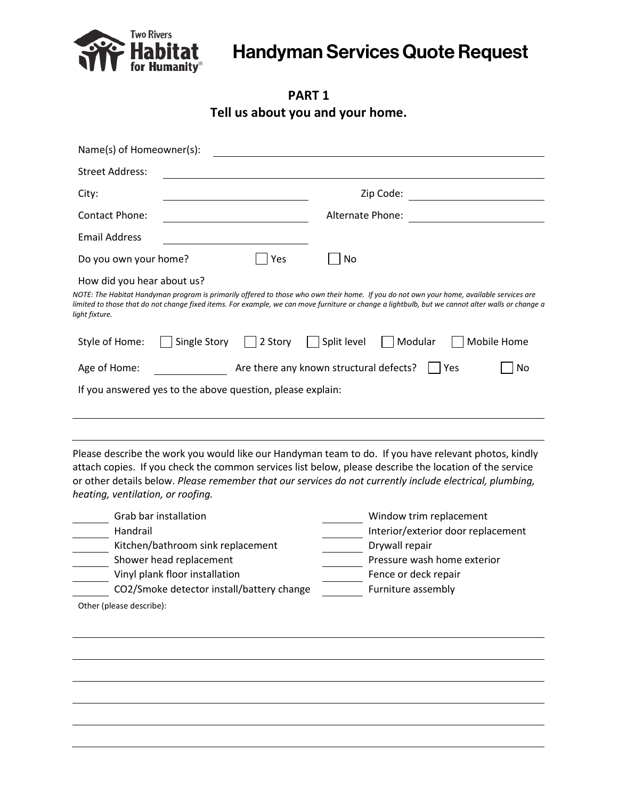

## Handyman Services Quote Request

**PART 1 Tell us about you and your home.**

| Name(s) of Homeowner(s):                                                                                                                                                                                                                                                                                                                     |                                                      |                 |                  |         |             |  |
|----------------------------------------------------------------------------------------------------------------------------------------------------------------------------------------------------------------------------------------------------------------------------------------------------------------------------------------------|------------------------------------------------------|-----------------|------------------|---------|-------------|--|
| <b>Street Address:</b>                                                                                                                                                                                                                                                                                                                       |                                                      |                 |                  |         |             |  |
| City:                                                                                                                                                                                                                                                                                                                                        |                                                      |                 | Zip Code:        |         |             |  |
| <b>Contact Phone:</b>                                                                                                                                                                                                                                                                                                                        |                                                      |                 | Alternate Phone: |         |             |  |
| <b>Email Address</b>                                                                                                                                                                                                                                                                                                                         |                                                      |                 |                  |         |             |  |
| Do you own your home?                                                                                                                                                                                                                                                                                                                        |                                                      | Yes             | No               |         |             |  |
| How did you hear about us?<br>NOTE: The Habitat Handyman program is primarily offered to those who own their home. If you do not own your home, available services are<br>limited to those that do not change fixed items. For example, we can move furniture or change a lightbulb, but we cannot alter walls or change a<br>light fixture. |                                                      |                 |                  |         |             |  |
| Style of Home:                                                                                                                                                                                                                                                                                                                               | Single Story                                         | $\vert$ 2 Story | Split level      | Modular | Mobile Home |  |
| Age of Home:                                                                                                                                                                                                                                                                                                                                 | Are there any known structural defects?<br>No<br>Yes |                 |                  |         |             |  |
| If you answered yes to the above question, please explain:                                                                                                                                                                                                                                                                                   |                                                      |                 |                  |         |             |  |
|                                                                                                                                                                                                                                                                                                                                              |                                                      |                 |                  |         |             |  |

Please describe the work you would like our Handyman team to do. If you have relevant photos, kindly attach copies. If you check the common services list below, please describe the location of the service or other details below. *Please remember that our services do not currently include electrical, plumbing, heating, ventilation, or roofing.*

| Grab bar installation                     | Window trim replacement            |
|-------------------------------------------|------------------------------------|
| Handrail                                  | Interior/exterior door replacement |
| Kitchen/bathroom sink replacement         | Drywall repair                     |
| Shower head replacement                   | Pressure wash home exterior        |
| Vinyl plank floor installation            | Fence or deck repair               |
| CO2/Smoke detector install/battery change | Furniture assembly                 |
| Other (please describe):                  |                                    |